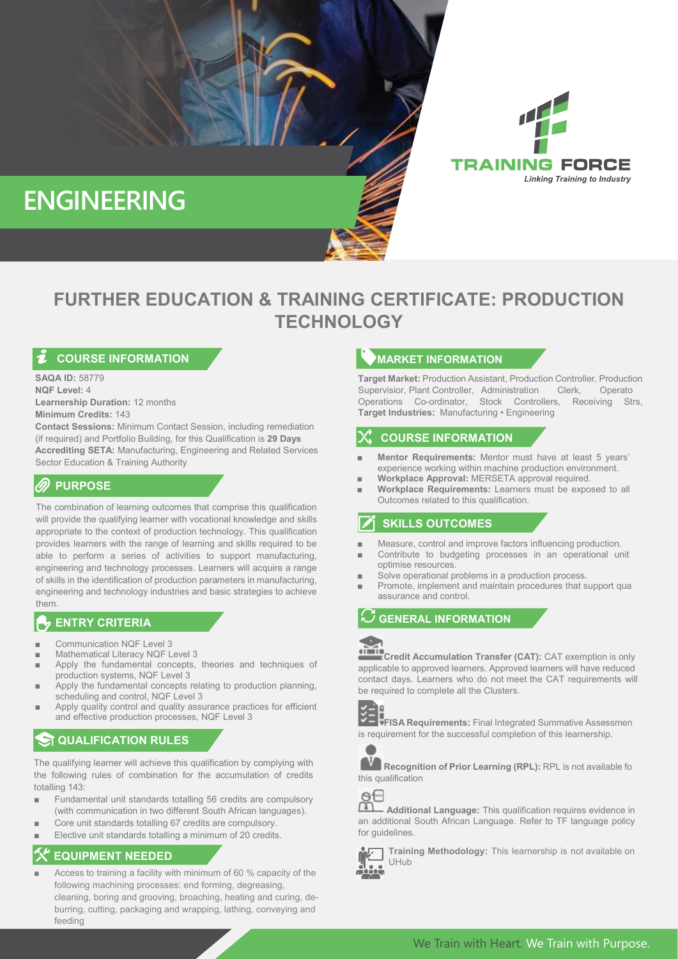

# ` **TECHNOLOGY FURTHER EDUCATION & TRAINING CERTIFICATE: PRODUCTION**

# **COURSE INFORMATION**

**SAQA ID:** 58779 **NQF Level:** 4 **Learnership Duration:** 12 months **Minimum Credits:** 143

**Contact Sessions:** Minimum Contact Session, including remediation (if required) and Portfolio Building, for this Qualification is **29 Days Accrediting SETA:** Manufacturing, Engineering and Related Services Sector Education & Training Authority

# **PURPOSE**

The combination of learning outcomes that comprise this qualification will provide the qualifying learner with vocational knowledge and skills appropriate to the context of production technology. This qualification provides learners with the range of learning and skills required to be able to perform a series of activities to support manufacturing, engineering and technology processes. Learners will acquire a range of skills in the identification of production parameters in manufacturing, engineering and technology industries and basic strategies to achieve them.

## **ENTRY CRITERIA**

- Communication NQF Level 3
- Mathematical Literacy NQF Level 3
- Apply the fundamental concepts, theories and techniques of production systems, NQF Level 3
- Apply the fundamental concepts relating to production planning, scheduling and control, NQF Level 3
- Apply quality control and quality assurance practices for efficient and effective production processes, NQF Level 3

# **GUALIFICATION RULES**

The qualifying learner will achieve this qualification by complying with the following rules of combination for the accumulation of credits totalling 143:

- Fundamental unit standards totalling 56 credits are compulsory (with communication in two different South African languages).
- Core unit standards totalling 67 credits are compulsory.
- Elective unit standards totalling a minimum of 20 credits.

# **EQUIPMENT NEEDED**

Access to training a facility with minimum of 60 % capacity of the following machining processes: end forming, degreasing, cleaning, boring and grooving, broaching, heating and curing, deburring, cutting, packaging and wrapping, lathing, conveying and feeding

## **MARKET INFORMATION**

**Target Market:** Production Assistant, Production Controller, Production Supervisior, Plant Controller, Administration Clerk, Operato Operations Co-ordinator, Stock Controllers, Receiving Strs, **Target Industries:** Manufacturing • Engineering

**Linking Training to Industry** 

#### **COURSE INFORMATION**

- **Mentor Requirements:** Mentor must have at least 5 years' experience working within machine production environment.
- **Workplace Approval: MERSETA approval required.**
- **Workplace Requirements:** Learners must be exposed to all Outcomes related to this qualification.

# **SKILLS OUTCOMES**

- Measure, control and improve factors influencing production.
- Contribute to budgeting processes in an operational unit optimise resources.
- Solve operational problems in a production process.
- Promote, implement and maintain procedures that support qua assurance and control.

#### **GENERAL INFORMATION**

**Credit Accumulation Transfer (CAT):** CAT exemption is only applicable to approved learners. Approved learners will have reduced contact days. Learners who do not meet the CAT requirements will be required to complete all the Clusters.



**FISA Requirements:** Final Integrated Summative Assessmen is requirement for the successful completion of this learnership.



**Recognition of Prior Learning (RPL):** RPL is not available fo this qualification



 **Additional Language:** This qualification requires evidence in an additional South African Language. Refer to TF language policy for guidelines.



**Training Methodology:** This learnership is not available on UHub